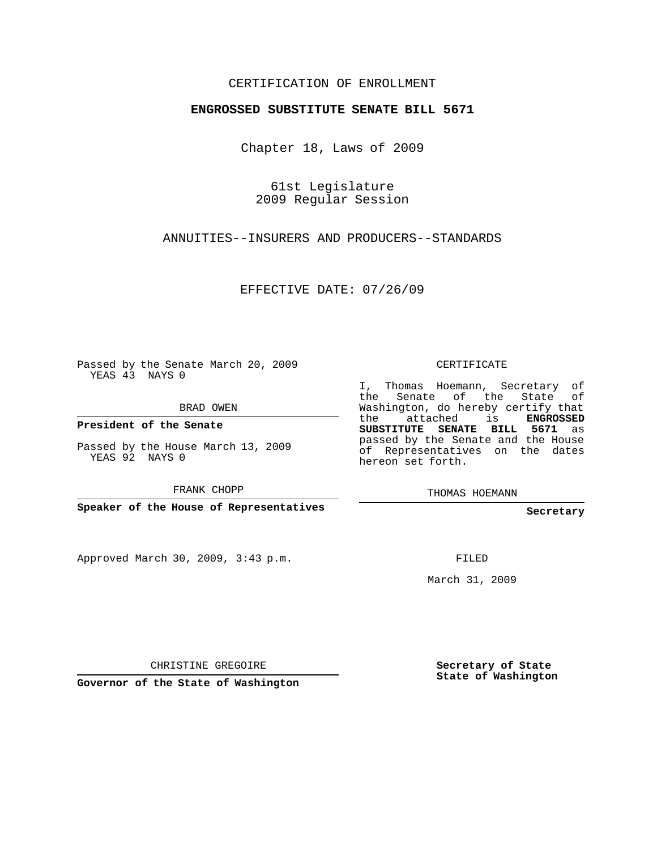## CERTIFICATION OF ENROLLMENT

## **ENGROSSED SUBSTITUTE SENATE BILL 5671**

Chapter 18, Laws of 2009

61st Legislature 2009 Regular Session

ANNUITIES--INSURERS AND PRODUCERS--STANDARDS

EFFECTIVE DATE: 07/26/09

Passed by the Senate March 20, 2009 YEAS 43 NAYS 0

BRAD OWEN

**President of the Senate**

Passed by the House March 13, 2009 YEAS 92 NAYS 0

FRANK CHOPP

**Speaker of the House of Representatives**

Approved March 30, 2009, 3:43 p.m.

CERTIFICATE

I, Thomas Hoemann, Secretary of the Senate of the State of Washington, do hereby certify that the attached is **ENGROSSED SUBSTITUTE SENATE BILL 5671** as passed by the Senate and the House of Representatives on the dates hereon set forth.

THOMAS HOEMANN

**Secretary**

FILED

March 31, 2009

CHRISTINE GREGOIRE

**Governor of the State of Washington**

**Secretary of State State of Washington**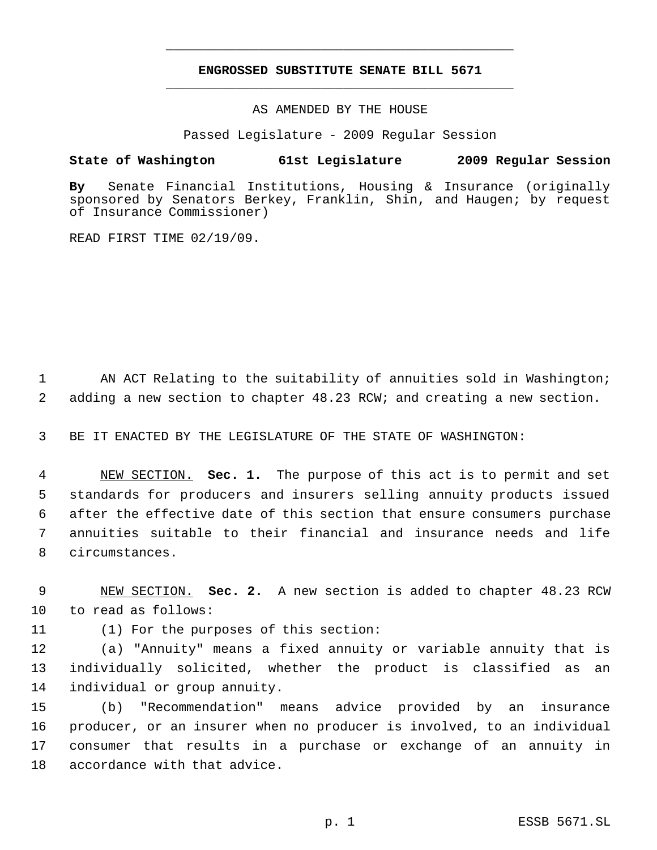## **ENGROSSED SUBSTITUTE SENATE BILL 5671** \_\_\_\_\_\_\_\_\_\_\_\_\_\_\_\_\_\_\_\_\_\_\_\_\_\_\_\_\_\_\_\_\_\_\_\_\_\_\_\_\_\_\_\_\_

\_\_\_\_\_\_\_\_\_\_\_\_\_\_\_\_\_\_\_\_\_\_\_\_\_\_\_\_\_\_\_\_\_\_\_\_\_\_\_\_\_\_\_\_\_

AS AMENDED BY THE HOUSE

Passed Legislature - 2009 Regular Session

## **State of Washington 61st Legislature 2009 Regular Session**

**By** Senate Financial Institutions, Housing & Insurance (originally sponsored by Senators Berkey, Franklin, Shin, and Haugen; by request of Insurance Commissioner)

READ FIRST TIME 02/19/09.

1 AN ACT Relating to the suitability of annuities sold in Washington; 2 adding a new section to chapter 48.23 RCW; and creating a new section.

3 BE IT ENACTED BY THE LEGISLATURE OF THE STATE OF WASHINGTON:

 NEW SECTION. **Sec. 1.** The purpose of this act is to permit and set standards for producers and insurers selling annuity products issued after the effective date of this section that ensure consumers purchase annuities suitable to their financial and insurance needs and life circumstances.

 9 NEW SECTION. **Sec. 2.** A new section is added to chapter 48.23 RCW 10 to read as follows:

11 (1) For the purposes of this section:

12 (a) "Annuity" means a fixed annuity or variable annuity that is 13 individually solicited, whether the product is classified as an 14 individual or group annuity.

 (b) "Recommendation" means advice provided by an insurance producer, or an insurer when no producer is involved, to an individual consumer that results in a purchase or exchange of an annuity in accordance with that advice.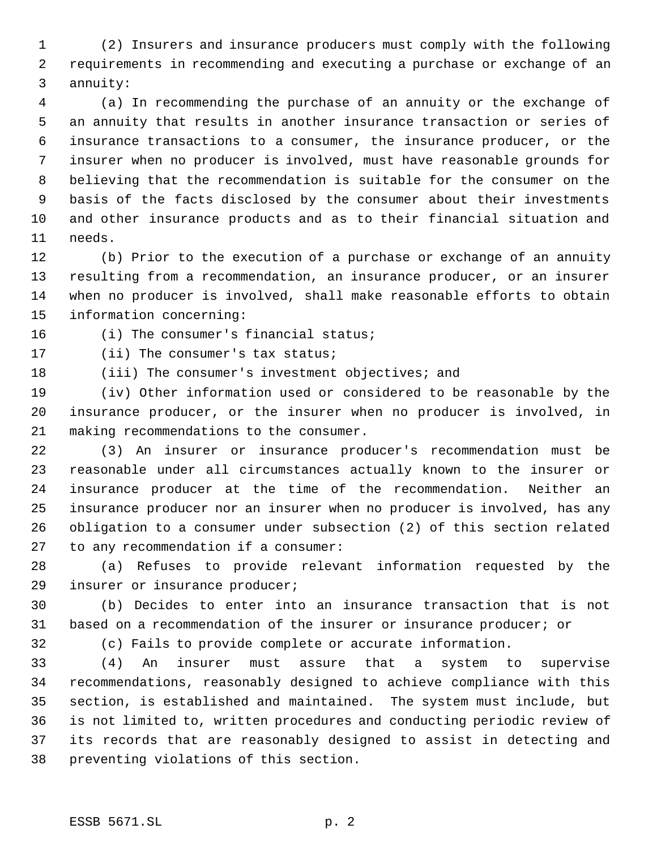(2) Insurers and insurance producers must comply with the following requirements in recommending and executing a purchase or exchange of an annuity:

 (a) In recommending the purchase of an annuity or the exchange of an annuity that results in another insurance transaction or series of insurance transactions to a consumer, the insurance producer, or the insurer when no producer is involved, must have reasonable grounds for believing that the recommendation is suitable for the consumer on the basis of the facts disclosed by the consumer about their investments and other insurance products and as to their financial situation and needs.

 (b) Prior to the execution of a purchase or exchange of an annuity resulting from a recommendation, an insurance producer, or an insurer when no producer is involved, shall make reasonable efforts to obtain information concerning:

(i) The consumer's financial status;

(ii) The consumer's tax status;

(iii) The consumer's investment objectives; and

 (iv) Other information used or considered to be reasonable by the insurance producer, or the insurer when no producer is involved, in making recommendations to the consumer.

 (3) An insurer or insurance producer's recommendation must be reasonable under all circumstances actually known to the insurer or insurance producer at the time of the recommendation. Neither an insurance producer nor an insurer when no producer is involved, has any obligation to a consumer under subsection (2) of this section related to any recommendation if a consumer:

 (a) Refuses to provide relevant information requested by the insurer or insurance producer;

 (b) Decides to enter into an insurance transaction that is not based on a recommendation of the insurer or insurance producer; or

(c) Fails to provide complete or accurate information.

 (4) An insurer must assure that a system to supervise recommendations, reasonably designed to achieve compliance with this section, is established and maintained. The system must include, but is not limited to, written procedures and conducting periodic review of its records that are reasonably designed to assist in detecting and preventing violations of this section.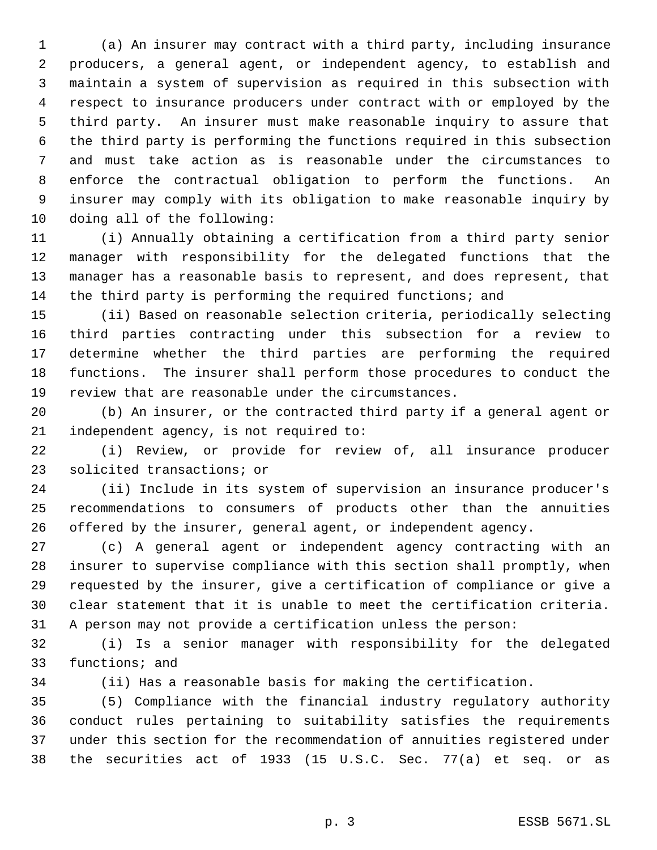(a) An insurer may contract with a third party, including insurance producers, a general agent, or independent agency, to establish and maintain a system of supervision as required in this subsection with respect to insurance producers under contract with or employed by the third party. An insurer must make reasonable inquiry to assure that the third party is performing the functions required in this subsection and must take action as is reasonable under the circumstances to enforce the contractual obligation to perform the functions. An insurer may comply with its obligation to make reasonable inquiry by doing all of the following:

 (i) Annually obtaining a certification from a third party senior manager with responsibility for the delegated functions that the manager has a reasonable basis to represent, and does represent, that 14 the third party is performing the required functions; and

 (ii) Based on reasonable selection criteria, periodically selecting third parties contracting under this subsection for a review to determine whether the third parties are performing the required functions. The insurer shall perform those procedures to conduct the review that are reasonable under the circumstances.

 (b) An insurer, or the contracted third party if a general agent or independent agency, is not required to:

 (i) Review, or provide for review of, all insurance producer solicited transactions; or

 (ii) Include in its system of supervision an insurance producer's recommendations to consumers of products other than the annuities offered by the insurer, general agent, or independent agency.

 (c) A general agent or independent agency contracting with an insurer to supervise compliance with this section shall promptly, when requested by the insurer, give a certification of compliance or give a clear statement that it is unable to meet the certification criteria. A person may not provide a certification unless the person:

 (i) Is a senior manager with responsibility for the delegated functions; and

(ii) Has a reasonable basis for making the certification.

 (5) Compliance with the financial industry regulatory authority conduct rules pertaining to suitability satisfies the requirements under this section for the recommendation of annuities registered under the securities act of 1933 (15 U.S.C. Sec. 77(a) et seq. or as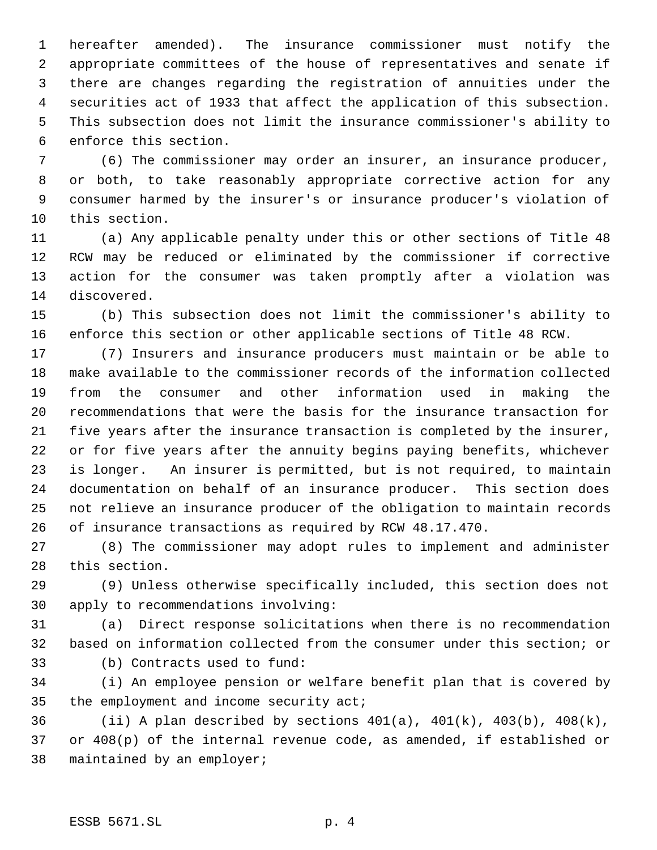hereafter amended). The insurance commissioner must notify the appropriate committees of the house of representatives and senate if there are changes regarding the registration of annuities under the securities act of 1933 that affect the application of this subsection. This subsection does not limit the insurance commissioner's ability to enforce this section.

 (6) The commissioner may order an insurer, an insurance producer, or both, to take reasonably appropriate corrective action for any consumer harmed by the insurer's or insurance producer's violation of this section.

 (a) Any applicable penalty under this or other sections of Title 48 RCW may be reduced or eliminated by the commissioner if corrective action for the consumer was taken promptly after a violation was discovered.

 (b) This subsection does not limit the commissioner's ability to enforce this section or other applicable sections of Title 48 RCW.

 (7) Insurers and insurance producers must maintain or be able to make available to the commissioner records of the information collected from the consumer and other information used in making the recommendations that were the basis for the insurance transaction for five years after the insurance transaction is completed by the insurer, or for five years after the annuity begins paying benefits, whichever is longer. An insurer is permitted, but is not required, to maintain documentation on behalf of an insurance producer. This section does not relieve an insurance producer of the obligation to maintain records of insurance transactions as required by RCW 48.17.470.

 (8) The commissioner may adopt rules to implement and administer this section.

 (9) Unless otherwise specifically included, this section does not apply to recommendations involving:

 (a) Direct response solicitations when there is no recommendation based on information collected from the consumer under this section; or

(b) Contracts used to fund:

 (i) An employee pension or welfare benefit plan that is covered by 35 the employment and income security act;

36 (ii) A plan described by sections  $401(a)$ ,  $401(k)$ ,  $403(b)$ ,  $408(k)$ , or 408(p) of the internal revenue code, as amended, if established or maintained by an employer;